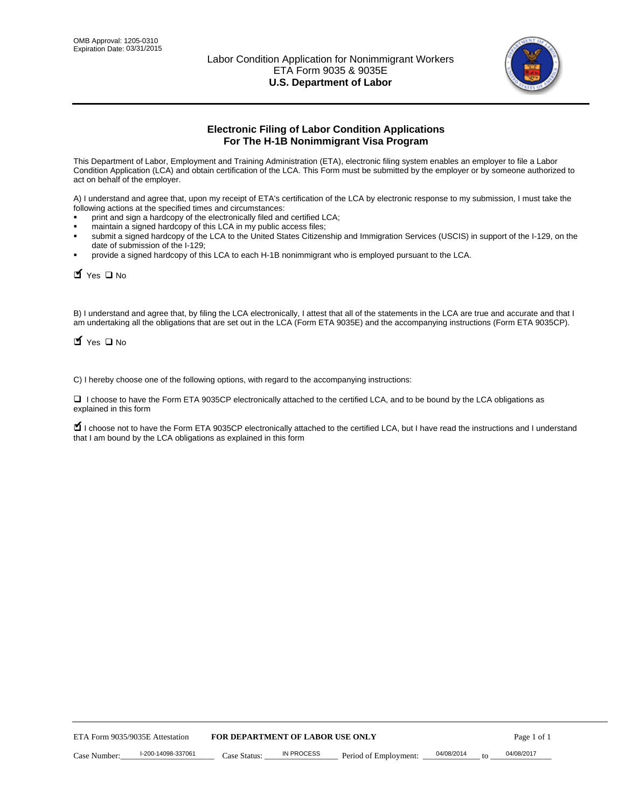

# **Electronic Filing of Labor Condition Applications For The H-1B Nonimmigrant Visa Program**

This Department of Labor, Employment and Training Administration (ETA), electronic filing system enables an employer to file a Labor Condition Application (LCA) and obtain certification of the LCA. This Form must be submitted by the employer or by someone authorized to act on behalf of the employer.

A) I understand and agree that, upon my receipt of ETA's certification of the LCA by electronic response to my submission, I must take the following actions at the specified times and circumstances:

- print and sign a hardcopy of the electronically filed and certified LCA;
- maintain a signed hardcopy of this LCA in my public access files;
- submit a signed hardcopy of the LCA to the United States Citizenship and Immigration Services (USCIS) in support of the I-129, on the date of submission of the I-129;
- provide a signed hardcopy of this LCA to each H-1B nonimmigrant who is employed pursuant to the LCA.

| Yes O No                                                                                                                                                                                                                                                                                                              |                                  |                   |                       |                  |             |
|-----------------------------------------------------------------------------------------------------------------------------------------------------------------------------------------------------------------------------------------------------------------------------------------------------------------------|----------------------------------|-------------------|-----------------------|------------------|-------------|
| B) I understand and agree that, by filing the LCA electronically, I attest that all of the statements in the LCA are true and accurate and th<br>am undertaking all the obligations that are set out in the LCA (Form ETA 9035E) and the accompanying instructions (Form ETA 9035C<br>$\blacksquare$ Yes $\square$ No |                                  |                   |                       |                  |             |
| C) I hereby choose one of the following options, with regard to the accompanying instructions:                                                                                                                                                                                                                        |                                  |                   |                       |                  |             |
| □ I choose to have the Form ETA 9035CP electronically attached to the certified LCA, and to be bound by the LCA obligations as<br>explained in this form                                                                                                                                                              |                                  |                   |                       |                  |             |
| I choose not to have the Form ETA 9035CP electronically attached to the certified LCA, but I have read the instructions and I unders<br>that I am bound by the LCA obligations as explained in this form                                                                                                              |                                  |                   |                       |                  |             |
|                                                                                                                                                                                                                                                                                                                       |                                  |                   |                       |                  |             |
|                                                                                                                                                                                                                                                                                                                       |                                  |                   |                       |                  |             |
|                                                                                                                                                                                                                                                                                                                       |                                  |                   |                       |                  |             |
|                                                                                                                                                                                                                                                                                                                       |                                  |                   |                       |                  |             |
|                                                                                                                                                                                                                                                                                                                       |                                  |                   |                       |                  |             |
|                                                                                                                                                                                                                                                                                                                       |                                  |                   |                       |                  |             |
|                                                                                                                                                                                                                                                                                                                       |                                  |                   |                       |                  |             |
|                                                                                                                                                                                                                                                                                                                       |                                  |                   |                       |                  |             |
|                                                                                                                                                                                                                                                                                                                       |                                  |                   |                       |                  |             |
|                                                                                                                                                                                                                                                                                                                       |                                  |                   |                       |                  |             |
| ETA Form 9035/9035E Attestation                                                                                                                                                                                                                                                                                       | FOR DEPARTMENT OF LABOR USE ONLY |                   |                       |                  | Page 1 of 1 |
| I-200-14098-337061<br>Case Number:                                                                                                                                                                                                                                                                                    | Case Status:                     | <b>IN PROCESS</b> | Period of Employment: | 04/08/2014<br>to | 04/08/2017  |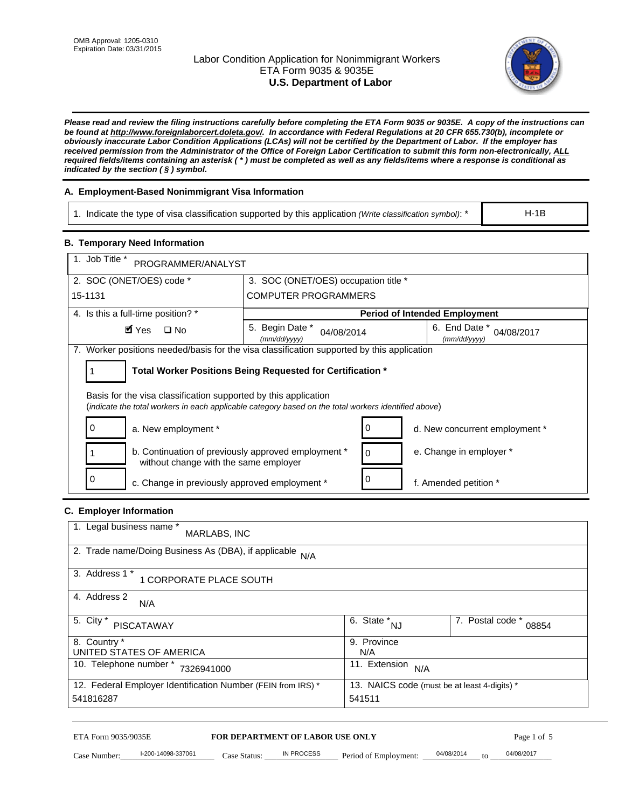# Labor Condition Application for Nonimmigrant Workers ETA Form 9035 & 9035E **U.S. Department of Labor**



*Please read and review the filing instructions carefully before completing the ETA Form 9035 or 9035E. A copy of the instructions can be found at http://www.foreignlaborcert.doleta.gov/. In accordance with Federal Regulations at 20 CFR 655.730(b), incomplete or obviously inaccurate Labor Condition Applications (LCAs) will not be certified by the Department of Labor. If the employer has received permission from the Administrator of the Office of Foreign Labor Certification to submit this form non-electronically, ALL required fields/items containing an asterisk ( \* ) must be completed as well as any fields/items where a response is conditional as indicated by the section ( § ) symbol.* 

# **A. Employment-Based Nonimmigrant Visa Information**

1. Indicate the type of visa classification supported by this application *(Write classification symbol)*: \*

## **B. Temporary Need Information**

| 1. Indicate the type of visa classification supported by this application (Write classification symbol): *                                                              |                                                                        |                                                 |                                              | $H-1B$                    |  |
|-------------------------------------------------------------------------------------------------------------------------------------------------------------------------|------------------------------------------------------------------------|-------------------------------------------------|----------------------------------------------|---------------------------|--|
| <b>B. Temporary Need Information</b>                                                                                                                                    |                                                                        |                                                 |                                              |                           |  |
| 1. Job Title *<br>PROGRAMMER/ANALYST                                                                                                                                    |                                                                        |                                                 |                                              |                           |  |
| 2. SOC (ONET/OES) code *                                                                                                                                                | 3. SOC (ONET/OES) occupation title *                                   |                                                 |                                              |                           |  |
| 15-1131                                                                                                                                                                 | <b>COMPUTER PROGRAMMERS</b>                                            |                                                 |                                              |                           |  |
| 4. Is this a full-time position? *                                                                                                                                      |                                                                        |                                                 | <b>Period of Intended Employment</b>         |                           |  |
| $\blacksquare$ Yes<br>$\square$ No                                                                                                                                      | 5. Begin Date *<br>04/08/2014<br>(mm/dd/yyyy)                          |                                                 | 6. End Date *<br>(mm/dd/yyyy)                | 04/08/2017                |  |
| 7. Worker positions needed/basis for the visa classification supported by this application                                                                              |                                                                        |                                                 |                                              |                           |  |
| Total Worker Positions Being Requested for Certification *<br>1                                                                                                         |                                                                        |                                                 |                                              |                           |  |
| Basis for the visa classification supported by this application<br>(indicate the total workers in each applicable category based on the total workers identified above) |                                                                        |                                                 |                                              |                           |  |
| 0<br>a. New employment *                                                                                                                                                |                                                                        | 0                                               | d. New concurrent employment *               |                           |  |
| b. Continuation of previously approved employment *<br>without change with the same employer                                                                            |                                                                        | 0                                               | e. Change in employer *                      |                           |  |
| 0<br>c. Change in previously approved employment *                                                                                                                      |                                                                        | 0                                               | f. Amended petition *                        |                           |  |
| C. Employer Information                                                                                                                                                 |                                                                        |                                                 |                                              |                           |  |
| 1. Legal business name *<br>MARLABS, INC                                                                                                                                |                                                                        |                                                 |                                              |                           |  |
| 2. Trade name/Doing Business As (DBA), if applicable N/A                                                                                                                |                                                                        |                                                 |                                              |                           |  |
| 3. Address 1 *<br>1 CORPORATE PLACE SOUTH                                                                                                                               |                                                                        |                                                 |                                              |                           |  |
| 4. Address 2<br>N/A                                                                                                                                                     |                                                                        |                                                 |                                              |                           |  |
| 5. City *<br><b>PISCATAWAY</b>                                                                                                                                          |                                                                        | $\overline{6. \quad \text{State}}^*_{\quad NJ}$ |                                              | 7. Postal code *<br>08854 |  |
| 8. Country *<br>UNITED STATES OF AMERICA                                                                                                                                |                                                                        | 9. Province<br>N/A                              |                                              |                           |  |
| 10. Telephone number * 7326941000                                                                                                                                       |                                                                        | 11. Extension $N/A$                             |                                              |                           |  |
| 12. Federal Employer Identification Number (FEIN from IRS) *<br>541816287                                                                                               |                                                                        | 541511                                          | 13. NAICS code (must be at least 4-digits) * |                           |  |
| ETA Form 9035/9035E                                                                                                                                                     |                                                                        |                                                 |                                              |                           |  |
| I-200-14098-337061<br>Case Number:                                                                                                                                      | <b>FOR DEPARTMENT OF LABOR USE ONLY</b><br>IN PROCESS<br>$Case$ Statue | Period of Employment:                           | 04/08/2014                                   | Page 1 of 5<br>04/08/2017 |  |

# **C. Employer Information**

| 1. Legal business name *<br>MARLABS, INC                     |                                              |                           |
|--------------------------------------------------------------|----------------------------------------------|---------------------------|
| 2. Trade name/Doing Business As (DBA), if applicable N/A     |                                              |                           |
| 3. Address 1 *<br>1 CORPORATE PLACE SOUTH                    |                                              |                           |
| 4. Address 2<br>N/A                                          |                                              |                           |
| 5. City *<br><b>PISCATAWAY</b>                               | 6. State *<br><b>NJ</b>                      | 7. Postal code *<br>08854 |
| 8. Country *                                                 | 9. Province                                  |                           |
| UNITED STATES OF AMERICA                                     | N/A                                          |                           |
| 10. Telephone number *<br>7326941000                         | 11. Extension<br>N/A                         |                           |
| 12. Federal Employer Identification Number (FEIN from IRS) * | 13. NAICS code (must be at least 4-digits) * |                           |
| 541816287                                                    | 541511                                       |                           |

# ETA Form 9035/9035E **FOR DEPARTMENT OF LABOR USE ONLY** Page 1 of 5<br>Case Number: 1-200-14098-337061 Case Status: IN PROCESS Period of Employment: 04/08/2014 to 04/08/2017

Case Number: 1-200-14098-337061 Case Status: IN PROCESS Period of Employment: 04/08/2014 to 04/08/2017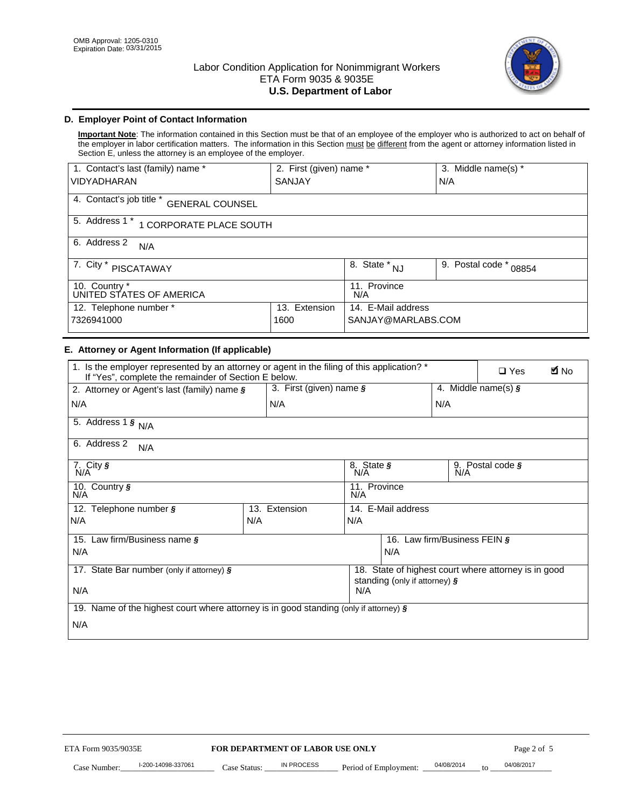

# **D. Employer Point of Contact Information**

**Important Note**: The information contained in this Section must be that of an employee of the employer who is authorized to act on behalf of the employer in labor certification matters. The information in this Section must be different from the agent or attorney information listed in Section E, unless the attorney is an employee of the employer.

| 1. Contact's last (family) name *                  | 2. First (given) name * |                                       | 3. Middle name(s) *       |  |  |
|----------------------------------------------------|-------------------------|---------------------------------------|---------------------------|--|--|
| <b>VIDYADHARAN</b>                                 | <b>SANJAY</b>           |                                       | N/A                       |  |  |
| 4. Contact's job title *<br><b>GENERAL COUNSEL</b> |                         |                                       |                           |  |  |
| 5. Address 1 *<br>1 CORPORATE PLACE SOUTH          |                         |                                       |                           |  |  |
| 6. Address 2<br>N/A                                |                         |                                       |                           |  |  |
| 7. City $*$<br>PISCATAWAY                          |                         | $\overline{8}$ . State *<br><b>NJ</b> | 9. Postal code *<br>08854 |  |  |
| 10. Country *<br>UNITED STATES OF AMERICA          |                         | 11. Province<br>N/A                   |                           |  |  |
| Extension<br>12. Telephone number *<br>13.         |                         | 14. E-Mail address                    |                           |  |  |
| 7326941000<br>1600                                 |                         | SANJAY@MARLABS.COM                    |                           |  |  |

## **E. Attorney or Agent Information (If applicable)**

| VIDYADHARAN                                                                                                                                         | SANJAY                           |                                           |                                          | N/A              |                                                      |             |
|-----------------------------------------------------------------------------------------------------------------------------------------------------|----------------------------------|-------------------------------------------|------------------------------------------|------------------|------------------------------------------------------|-------------|
| 4. Contact's job title * GENERAL COUNSEL                                                                                                            |                                  |                                           |                                          |                  |                                                      |             |
| 5. Address 1 * 1 CORPORATE PLACE SOUTH                                                                                                              |                                  |                                           |                                          |                  |                                                      |             |
| 6. Address 2<br>N/A                                                                                                                                 |                                  |                                           |                                          |                  |                                                      |             |
| 7. City * PISCATAWAY                                                                                                                                |                                  | $\overline{\phantom{a}}$ 8. State $^*$ NJ |                                          | 9. Postal code * | 08854                                                |             |
| 10. Country *<br>UNITED STATES OF AMERICA                                                                                                           |                                  | 11. Province<br>N/A                       |                                          |                  |                                                      |             |
| 12. Telephone number *<br>7326941000                                                                                                                | 13. Extension<br>1600            |                                           | 14. E-Mail address<br>SANJAY@MARLABS.COM |                  |                                                      |             |
| E. Attorney or Agent Information (If applicable)                                                                                                    |                                  |                                           |                                          |                  |                                                      |             |
| 1. Is the employer represented by an attorney or agent in the filing of this application? *<br>If "Yes", complete the remainder of Section E below. |                                  |                                           |                                          |                  | $\Box$ Yes                                           | <b>A</b> No |
| 2. Attorney or Agent's last (family) name §                                                                                                         | 3. First (given) name §          |                                           |                                          |                  | 4. Middle name(s) $\sqrt{s}$                         |             |
| N/A                                                                                                                                                 | N/A                              |                                           |                                          | N/A              |                                                      |             |
| 5. Address 1 $\frac{1}{9}$ N/A                                                                                                                      |                                  |                                           |                                          |                  |                                                      |             |
| 6. Address 2<br>N/A                                                                                                                                 |                                  |                                           |                                          |                  |                                                      |             |
| 7. City §<br>N/A                                                                                                                                    |                                  | 8. State §<br>N/A                         |                                          |                  | 9. Postal code §                                     |             |
| 10. Country §<br>N/A                                                                                                                                |                                  | 11. Province<br>N/A                       |                                          |                  |                                                      |             |
| 12. Telephone number §                                                                                                                              | 13. Extension                    | 14. E-Mail address                        |                                          |                  |                                                      |             |
| N/A                                                                                                                                                 | N/A                              | N/A                                       |                                          |                  |                                                      |             |
| 15. Law firm/Business name §                                                                                                                        |                                  |                                           | 16. Law firm/Business FEIN §             |                  |                                                      |             |
| N/A                                                                                                                                                 |                                  |                                           | N/A                                      |                  |                                                      |             |
| 17. State Bar number (only if attorney) §                                                                                                           |                                  |                                           | standing (only if attorney) §            |                  | 18. State of highest court where attorney is in good |             |
| N/A                                                                                                                                                 |                                  | N/A                                       |                                          |                  |                                                      |             |
| 19. Name of the highest court where attorney is in good standing (only if attorney) §                                                               |                                  |                                           |                                          |                  |                                                      |             |
| N/A                                                                                                                                                 |                                  |                                           |                                          |                  |                                                      |             |
|                                                                                                                                                     |                                  |                                           |                                          |                  |                                                      |             |
|                                                                                                                                                     |                                  |                                           |                                          |                  |                                                      |             |
|                                                                                                                                                     |                                  |                                           |                                          |                  |                                                      |             |
|                                                                                                                                                     |                                  |                                           |                                          |                  |                                                      |             |
|                                                                                                                                                     |                                  |                                           |                                          |                  |                                                      |             |
|                                                                                                                                                     |                                  |                                           |                                          |                  |                                                      |             |
|                                                                                                                                                     |                                  |                                           |                                          |                  |                                                      |             |
| ETA Form 9035/9035E                                                                                                                                 | FOR DEPARTMENT OF LABOR USE ONLY |                                           |                                          |                  | Page 2 of 5                                          |             |
| I-200-14098-337061                                                                                                                                  | <b>IN PROCESS</b>                |                                           |                                          | 04/08/2014       | 04/08/2017                                           |             |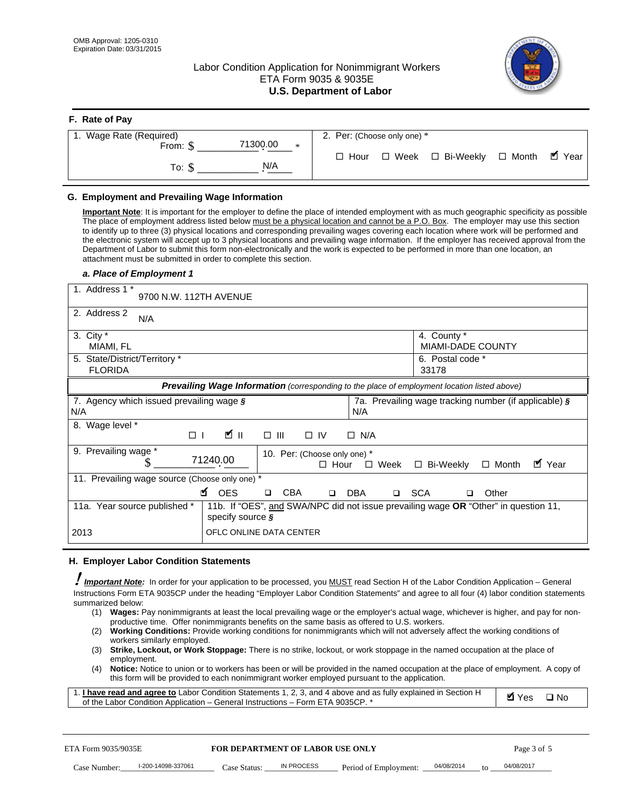# Labor Condition Application for Nonimmigrant Workers ETA Form 9035 & 9035E **U.S. Department of Labor**



| F. Rate of Pay              |                                          |
|-----------------------------|------------------------------------------|
| 1. Wage Rate (Required)     | 2. Per: (Choose only one) *              |
| 71300.00<br>From: \$<br>$*$ | □ Hour □ Week □ Bi-Weekly □ Month ■ Year |
| N/A<br>To: \$               |                                          |

## **G. Employment and Prevailing Wage Information**

#### *a. Place of Employment 1*

| From: \$                                                                                                                                                                                                                                                                                                                                                                                                                                                                                                                                                                                                                                                                                                                                                                                                                                                              | 71300.00<br>$\ast$                                                                                                                                                                                                                                                                                                                                                                                                                                                                                                                                                                        | $\Box$ Hour<br>$\Box$ Week                                 | $\Box$ Bi-Weekly                                      | $\blacksquare$ Year<br>$\Box$ Month |
|-----------------------------------------------------------------------------------------------------------------------------------------------------------------------------------------------------------------------------------------------------------------------------------------------------------------------------------------------------------------------------------------------------------------------------------------------------------------------------------------------------------------------------------------------------------------------------------------------------------------------------------------------------------------------------------------------------------------------------------------------------------------------------------------------------------------------------------------------------------------------|-------------------------------------------------------------------------------------------------------------------------------------------------------------------------------------------------------------------------------------------------------------------------------------------------------------------------------------------------------------------------------------------------------------------------------------------------------------------------------------------------------------------------------------------------------------------------------------------|------------------------------------------------------------|-------------------------------------------------------|-------------------------------------|
| To: $$$                                                                                                                                                                                                                                                                                                                                                                                                                                                                                                                                                                                                                                                                                                                                                                                                                                                               | N/A                                                                                                                                                                                                                                                                                                                                                                                                                                                                                                                                                                                       |                                                            |                                                       |                                     |
| G. Employment and Prevailing Wage Information<br>Important Note: It is important for the employer to define the place of intended employment with as much geographic specificity as possible<br>The place of employment address listed below must be a physical location and cannot be a P.O. Box. The employer may use this section<br>to identify up to three (3) physical locations and corresponding prevailing wages covering each location where work will be performed and<br>the electronic system will accept up to 3 physical locations and prevailing wage information. If the employer has received approval from the<br>Department of Labor to submit this form non-electronically and the work is expected to be performed in more than one location, an<br>attachment must be submitted in order to complete this section.<br>a. Place of Employment 1 |                                                                                                                                                                                                                                                                                                                                                                                                                                                                                                                                                                                           |                                                            |                                                       |                                     |
| 1. Address 1 *<br>9700 N.W. 112TH AVENUE                                                                                                                                                                                                                                                                                                                                                                                                                                                                                                                                                                                                                                                                                                                                                                                                                              |                                                                                                                                                                                                                                                                                                                                                                                                                                                                                                                                                                                           |                                                            |                                                       |                                     |
| 2. Address 2<br>N/A                                                                                                                                                                                                                                                                                                                                                                                                                                                                                                                                                                                                                                                                                                                                                                                                                                                   |                                                                                                                                                                                                                                                                                                                                                                                                                                                                                                                                                                                           |                                                            |                                                       |                                     |
| 3. City $*$<br>MIAMI, FL                                                                                                                                                                                                                                                                                                                                                                                                                                                                                                                                                                                                                                                                                                                                                                                                                                              |                                                                                                                                                                                                                                                                                                                                                                                                                                                                                                                                                                                           |                                                            | 4. County *<br>MIAMI-DADE COUNTY                      |                                     |
| 5. State/District/Territory *<br><b>FLORIDA</b>                                                                                                                                                                                                                                                                                                                                                                                                                                                                                                                                                                                                                                                                                                                                                                                                                       |                                                                                                                                                                                                                                                                                                                                                                                                                                                                                                                                                                                           |                                                            | 6. Postal code *<br>33178                             |                                     |
|                                                                                                                                                                                                                                                                                                                                                                                                                                                                                                                                                                                                                                                                                                                                                                                                                                                                       | Prevailing Wage Information (corresponding to the place of employment location listed above)                                                                                                                                                                                                                                                                                                                                                                                                                                                                                              |                                                            |                                                       |                                     |
| 7. Agency which issued prevailing wage $\zeta$<br>N/A                                                                                                                                                                                                                                                                                                                                                                                                                                                                                                                                                                                                                                                                                                                                                                                                                 |                                                                                                                                                                                                                                                                                                                                                                                                                                                                                                                                                                                           | N/A                                                        | 7a. Prevailing wage tracking number (if applicable) § |                                     |
| 8. Wage level *<br>$\Box$                                                                                                                                                                                                                                                                                                                                                                                                                                                                                                                                                                                                                                                                                                                                                                                                                                             | <b>M</b><br>$\Box$<br>III                                                                                                                                                                                                                                                                                                                                                                                                                                                                                                                                                                 | $\Box$ IV<br>$\Box$ N/A                                    |                                                       |                                     |
| 9. Prevailing wage *<br>\$                                                                                                                                                                                                                                                                                                                                                                                                                                                                                                                                                                                                                                                                                                                                                                                                                                            | 71240.00                                                                                                                                                                                                                                                                                                                                                                                                                                                                                                                                                                                  | 10. Per: (Choose only one) *<br>$\Box$ Hour<br>$\Box$ Week | □ Bi-Weekly                                           | ■ Year<br>$\Box$ Month              |
| 11. Prevailing wage source (Choose only one) *                                                                                                                                                                                                                                                                                                                                                                                                                                                                                                                                                                                                                                                                                                                                                                                                                        | <b>¤</b> OES<br><b>CBA</b>                                                                                                                                                                                                                                                                                                                                                                                                                                                                                                                                                                | <b>DBA</b><br>$\Box$                                       | □ SCA<br>□                                            | Other                               |
| 11a. Year source published *                                                                                                                                                                                                                                                                                                                                                                                                                                                                                                                                                                                                                                                                                                                                                                                                                                          | 11b. If "OES", and SWA/NPC did not issue prevailing wage OR "Other" in question 11,<br>specify source $\boldsymbol{\S}$                                                                                                                                                                                                                                                                                                                                                                                                                                                                   |                                                            |                                                       |                                     |
| 2013                                                                                                                                                                                                                                                                                                                                                                                                                                                                                                                                                                                                                                                                                                                                                                                                                                                                  | OFLC ONLINE DATA CENTER                                                                                                                                                                                                                                                                                                                                                                                                                                                                                                                                                                   |                                                            |                                                       |                                     |
| H. Employer Labor Condition Statements                                                                                                                                                                                                                                                                                                                                                                                                                                                                                                                                                                                                                                                                                                                                                                                                                                |                                                                                                                                                                                                                                                                                                                                                                                                                                                                                                                                                                                           |                                                            |                                                       |                                     |
| I Important Note: In order for your application to be processed, you MUST read Section H of the Labor Condition Application – General<br>Instructions Form ETA 9035CP under the heading "Employer Labor Condition Statements" and agree to all four (4) labor condition statements<br>summarized below:<br>(1) Wages: Pay nonimmigrants at least the local prevailing wage or the employer's actual wage, whichever is higher, and pay for non-<br>(2)<br>workers similarly employed.<br>(3)<br>employment.<br>(4)<br>1. I have read and agree to Labor Condition Statements 1, 2, 3, and 4 above and as fully explained in Section H<br>of the Labor Condition Application - General Instructions - Form ETA 9035CP. *                                                                                                                                               | productive time. Offer nonimmigrants benefits on the same basis as offered to U.S. workers.<br>Working Conditions: Provide working conditions for nonimmigrants which will not adversely affect the working conditions of<br>Strike, Lockout, or Work Stoppage: There is no strike, lockout, or work stoppage in the named occupation at the place of<br>Notice: Notice to union or to workers has been or will be provided in the named occupation at the place of employment. A copy of<br>this form will be provided to each nonimmigrant worker employed pursuant to the application. |                                                            |                                                       | <b>Ø</b> Yes<br>$\square$ No        |
| ETA Form 9035/9035E                                                                                                                                                                                                                                                                                                                                                                                                                                                                                                                                                                                                                                                                                                                                                                                                                                                   | <b>FOR DEPARTMENT OF LABOR USE ONLY</b>                                                                                                                                                                                                                                                                                                                                                                                                                                                                                                                                                   |                                                            |                                                       | Page 3 of 5                         |
| I-200-14098-337061<br>Case Number:                                                                                                                                                                                                                                                                                                                                                                                                                                                                                                                                                                                                                                                                                                                                                                                                                                    | <b>IN PROCESS</b><br>Case Status:                                                                                                                                                                                                                                                                                                                                                                                                                                                                                                                                                         | Period of Employment:                                      | 04/08/2014                                            | 04/08/2017                          |

#### **H. Employer Labor Condition Statements**

- (1) **Wages:** Pay nonimmigrants at least the local prevailing wage or the employer's actual wage, whichever is higher, and pay for nonproductive time. Offer nonimmigrants benefits on the same basis as offered to U.S. workers.
- (2) **Working Conditions:** Provide working conditions for nonimmigrants which will not adversely affect the working conditions of workers similarly employed.
- (3) **Strike, Lockout, or Work Stoppage:** There is no strike, lockout, or work stoppage in the named occupation at the place of employment.
- (4) **Notice:** Notice to union or to workers has been or will be provided in the named occupation at the place of employment. A copy of this form will be provided to each nonimmigrant worker employed pursuant to the application.

| 1. I have read and agree to Labor Condition Statements 1, 2, 3, and 4 above and as fully explained in Section H | $\blacksquare$ Yes $\square$ No |  |
|-----------------------------------------------------------------------------------------------------------------|---------------------------------|--|
| of the Labor Condition Application – General Instructions – Form ETA 9035CP. *                                  |                                 |  |

| ETA Form 9035/9035E |                    | <b>FOR DEPARTMENT OF LABOR USE ONLY</b> |            |                                  |           | Page 3 of 5 |
|---------------------|--------------------|-----------------------------------------|------------|----------------------------------|-----------|-------------|
| Case Number:        | l-200-14098-337061 | Case Status:                            | IN PROCESS | Period of Employment: 04/08/2014 | $10^{-1}$ | 04/08/2017  |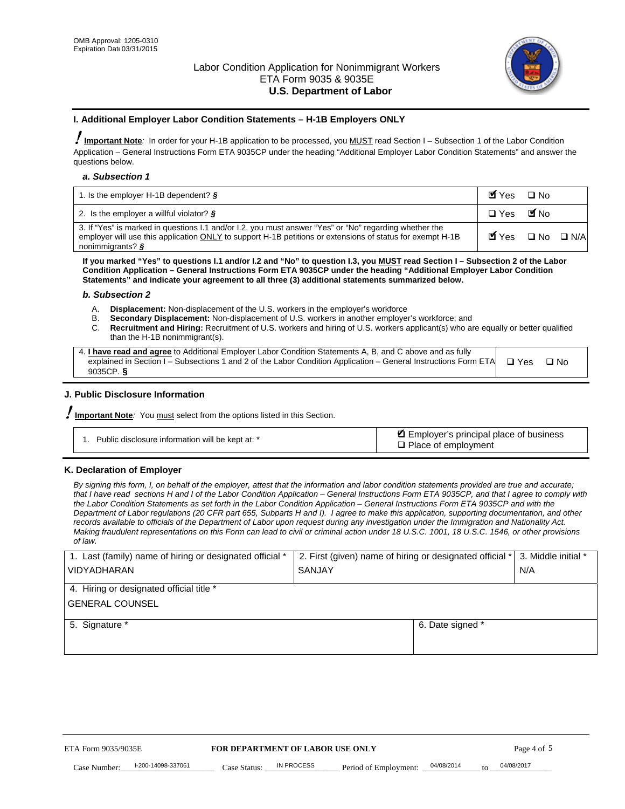

#### **I. Additional Employer Labor Condition Statements – H-1B Employers ONLY**

!**Important Note***:* In order for your H-1B application to be processed, you MUST read Section I – Subsection 1 of the Labor Condition Application – General Instructions Form ETA 9035CP under the heading "Additional Employer Labor Condition Statements" and answer the questions below.

#### *a. Subsection 1*

| 1. Is the employer H-1B dependent? $\S$                                                                                                                                                                                                 | Myes □ No                                     |  |
|-----------------------------------------------------------------------------------------------------------------------------------------------------------------------------------------------------------------------------------------|-----------------------------------------------|--|
| 2. Is the employer a willful violator? $\frac{1}{2}$                                                                                                                                                                                    | □ Yes ■No                                     |  |
| 3. If "Yes" is marked in questions I.1 and/or I.2, you must answer "Yes" or "No" regarding whether the<br>employer will use this application ONLY to support H-1B petitions or extensions of status for exempt H-1B<br>nonimmigrants? § | $\blacksquare$ Yes $\square$ No $\square$ N/A |  |

**If you marked "Yes" to questions I.1 and/or I.2 and "No" to question I.3, you MUST read Section I – Subsection 2 of the Labor Condition Application – General Instructions Form ETA 9035CP under the heading "Additional Employer Labor Condition Statements" and indicate your agreement to all three (3) additional statements summarized below.** 

#### *b. Subsection 2*

- A. **Displacement:** Non-displacement of the U.S. workers in the employer's workforce
- B. **Secondary Displacement:** Non-displacement of U.S. workers in another employer's workforce; and
- C. **Recruitment and Hiring:** Recruitment of U.S. workers and hiring of U.S. workers applicant(s) who are equally or better qualified than the H-1B nonimmigrant(s).

| 4. I have read and agree to Additional Employer Labor Condition Statements A, B, and C above and as fully                  |      |
|----------------------------------------------------------------------------------------------------------------------------|------|
| explained in Section I – Subsections 1 and 2 of the Labor Condition Application – General Instructions Form ETA $\Box$ Yes | ∩ N∩ |
| 9035CP. $\delta$                                                                                                           |      |

# **J. Public Disclosure Information**

!**Important Note***:* You must select from the options listed in this Section.

| Public disclosure information will be kept at: * | Employer's principal place of business<br>$\Box$ Place of employment |
|--------------------------------------------------|----------------------------------------------------------------------|
|--------------------------------------------------|----------------------------------------------------------------------|

#### **K. Declaration of Employer**

*By signing this form, I, on behalf of the employer, attest that the information and labor condition statements provided are true and accurate;*  that I have read sections H and I of the Labor Condition Application – General Instructions Form ETA 9035CP, and that I agree to comply with *the Labor Condition Statements as set forth in the Labor Condition Application – General Instructions Form ETA 9035CP and with the Department of Labor regulations (20 CFR part 655, Subparts H and I). I agree to make this application, supporting documentation, and other records available to officials of the Department of Labor upon request during any investigation under the Immigration and Nationality Act. Making fraudulent representations on this Form can lead to civil or criminal action under 18 U.S.C. 1001, 18 U.S.C. 1546, or other provisions of law.* 

| 1. Last (family) name of hiring or designated official *               | 2. First (given) name of hiring or designated official * | 3. Middle initial *                   |            |
|------------------------------------------------------------------------|----------------------------------------------------------|---------------------------------------|------------|
| <b>VIDYADHARAN</b>                                                     | <b>SANJAY</b>                                            | N/A                                   |            |
| 4. Hiring or designated official title *                               |                                                          |                                       |            |
| <b>GENERAL COUNSEL</b>                                                 |                                                          |                                       |            |
| 5. Signature *                                                         |                                                          | 6. Date signed *                      |            |
|                                                                        |                                                          |                                       |            |
|                                                                        |                                                          |                                       |            |
|                                                                        |                                                          |                                       |            |
|                                                                        |                                                          |                                       |            |
| FOR DEPARTMENT OF LABOR USE ONLY<br>ETA Form 9035/9035E<br>Page 4 of 5 |                                                          |                                       |            |
| I-200-14098-337061<br>Case Number<br>Case Status:                      | IN PROCESS<br>Period of Employment:                      | 04/08/2014<br>$\mathbf{f} \mathbf{O}$ | 04/08/2017 |